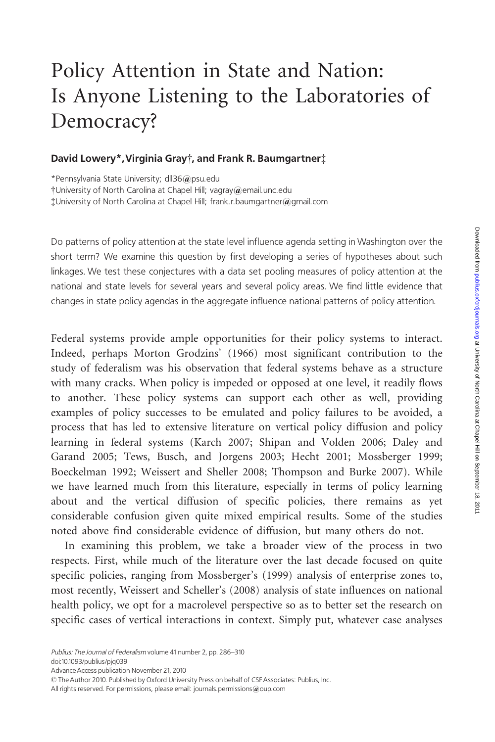# Policy Attention in State and Nation: Is Anyone Listening to the Laboratories of Democracy?

#### David Lowery\*, Virginia Gray†, and Frank R. Baumgartner $\ddagger$

\*Pennsylvania State University; dll36@psu.edu yUniversity of North Carolina at Chapel Hill; vagray@email.unc.edu  $\ddagger$ University of North Carolina at Chapel Hill; frank.r.baumgartner@gmail.com

Do patterns of policy attention at the state level influence agenda setting in Washington over the short term? We examine this question by first developing a series of hypotheses about such linkages. We test these conjectures with a data set pooling measures of policy attention at the national and state levels for several years and several policy areas. We find little evidence that changes in state policy agendas in the aggregate influence national patterns of policy attention.

Federal systems provide ample opportunities for their policy systems to interact. Indeed, perhaps Morton Grodzins' (1966) most significant contribution to the study of federalism was his observation that federal systems behave as a structure with many cracks. When policy is impeded or opposed at one level, it readily flows to another. These policy systems can support each other as well, providing examples of policy successes to be emulated and policy failures to be avoided, a process that has led to extensive literature on vertical policy diffusion and policy learning in federal systems (Karch 2007; Shipan and Volden 2006; Daley and Garand 2005; Tews, Busch, and Jorgens 2003; Hecht 2001; Mossberger 1999; Boeckelman 1992; Weissert and Sheller 2008; Thompson and Burke 2007). While we have learned much from this literature, especially in terms of policy learning about and the vertical diffusion of specific policies, there remains as yet considerable confusion given quite mixed empirical results. Some of the studies noted above find considerable evidence of diffusion, but many others do not.

In examining this problem, we take a broader view of the process in two respects. First, while much of the literature over the last decade focused on quite specific policies, ranging from Mossberger's (1999) analysis of enterprise zones to, most recently, Weissert and Scheller's (2008) analysis of state influences on national health policy, we opt for a macrolevel perspective so as to better set the research on specific cases of vertical interactions in context. Simply put, whatever case analyses

doi:10.1093/publius/pjq039

AdvanceAccess publication November 21, 2010

<sup>-</sup> TheAuthor 2010. Published by Oxford University Press on behalf of CSF Associates: Publius, Inc.

All rights reserved. For permissions, please email: journals.permissions@oup.com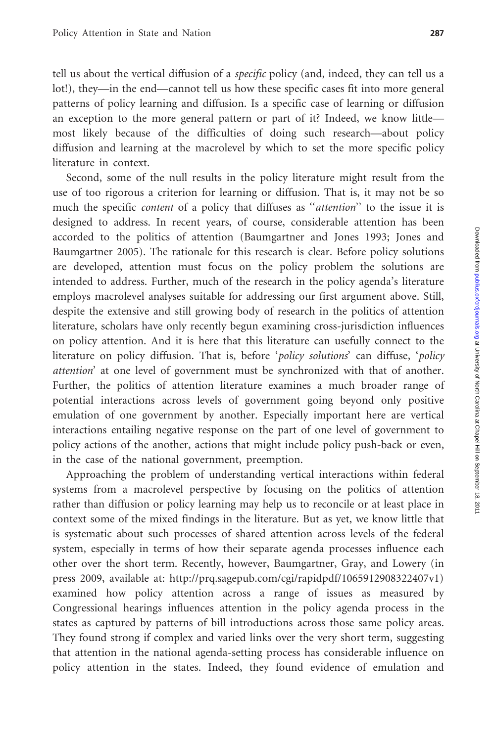tell us about the vertical diffusion of a specific policy (and, indeed, they can tell us a lot!), they—in the end—cannot tell us how these specific cases fit into more general patterns of policy learning and diffusion. Is a specific case of learning or diffusion an exception to the more general pattern or part of it? Indeed, we know little most likely because of the difficulties of doing such research—about policy diffusion and learning at the macrolevel by which to set the more specific policy literature in context.

Second, some of the null results in the policy literature might result from the use of too rigorous a criterion for learning or diffusion. That is, it may not be so much the specific *content* of a policy that diffuses as "attention" to the issue it is designed to address. In recent years, of course, considerable attention has been accorded to the politics of attention (Baumgartner and Jones 1993; Jones and Baumgartner 2005). The rationale for this research is clear. Before policy solutions are developed, attention must focus on the policy problem the solutions are intended to address. Further, much of the research in the policy agenda's literature employs macrolevel analyses suitable for addressing our first argument above. Still, despite the extensive and still growing body of research in the politics of attention literature, scholars have only recently begun examining cross-jurisdiction influences on policy attention. And it is here that this literature can usefully connect to the literature on policy diffusion. That is, before 'policy solutions' can diffuse, 'policy attention' at one level of government must be synchronized with that of another. Further, the politics of attention literature examines a much broader range of potential interactions across levels of government going beyond only positive emulation of one government by another. Especially important here are vertical interactions entailing negative response on the part of one level of government to policy actions of the another, actions that might include policy push-back or even, in the case of the national government, preemption.

Approaching the problem of understanding vertical interactions within federal systems from a macrolevel perspective by focusing on the politics of attention rather than diffusion or policy learning may help us to reconcile or at least place in context some of the mixed findings in the literature. But as yet, we know little that is systematic about such processes of shared attention across levels of the federal system, especially in terms of how their separate agenda processes influence each other over the short term. Recently, however, Baumgartner, Gray, and Lowery (in press 2009, available at: [http://prq.sagepub.com/cgi/rapidpdf/1065912908322407v1\)](http://prq.sagepub.com/cgi/rapidpdf/1065912908322407v1) examined how policy attention across a range of issues as measured by Congressional hearings influences attention in the policy agenda process in the states as captured by patterns of bill introductions across those same policy areas. They found strong if complex and varied links over the very short term, suggesting that attention in the national agenda-setting process has considerable influence on policy attention in the states. Indeed, they found evidence of emulation and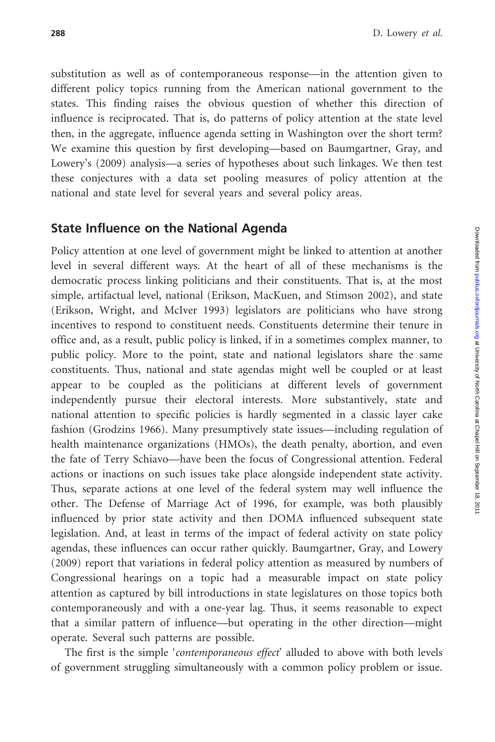substitution as well as of contemporaneous response—in the attention given to different policy topics running from the American national government to the states. This finding raises the obvious question of whether this direction of influence is reciprocated. That is, do patterns of policy attention at the state level then, in the aggregate, influence agenda setting in Washington over the short term? We examine this question by first developing—based on Baumgartner, Gray, and Lowery's (2009) analysis—a series of hypotheses about such linkages. We then test these conjectures with a data set pooling measures of policy attention at the national and state level for several years and several policy areas.

## State Influence on the National Agenda

Policy attention at one level of government might be linked to attention at another level in several different ways. At the heart of all of these mechanisms is the democratic process linking politicians and their constituents. That is, at the most simple, artifactual level, national (Erikson, MacKuen, and Stimson 2002), and state (Erikson, Wright, and McIver 1993) legislators are politicians who have strong incentives to respond to constituent needs. Constituents determine their tenure in office and, as a result, public policy is linked, if in a sometimes complex manner, to public policy. More to the point, state and national legislators share the same constituents. Thus, national and state agendas might well be coupled or at least appear to be coupled as the politicians at different levels of government independently pursue their electoral interests. More substantively, state and national attention to specific policies is hardly segmented in a classic layer cake fashion (Grodzins 1966). Many presumptively state issues—including regulation of health maintenance organizations (HMOs), the death penalty, abortion, and even the fate of Terry Schiavo—have been the focus of Congressional attention. Federal actions or inactions on such issues take place alongside independent state activity. Thus, separate actions at one level of the federal system may well influence the other. The Defense of Marriage Act of 1996, for example, was both plausibly influenced by prior state activity and then DOMA influenced subsequent state legislation. And, at least in terms of the impact of federal activity on state policy agendas, these influences can occur rather quickly. Baumgartner, Gray, and Lowery (2009) report that variations in federal policy attention as measured by numbers of Congressional hearings on a topic had a measurable impact on state policy attention as captured by bill introductions in state legislatures on those topics both contemporaneously and with a one-year lag. Thus, it seems reasonable to expect that a similar pattern of influence—but operating in the other direction—might operate. Several such patterns are possible.

The first is the simple 'contemporaneous effect' alluded to above with both levels of government struggling simultaneously with a common policy problem or issue.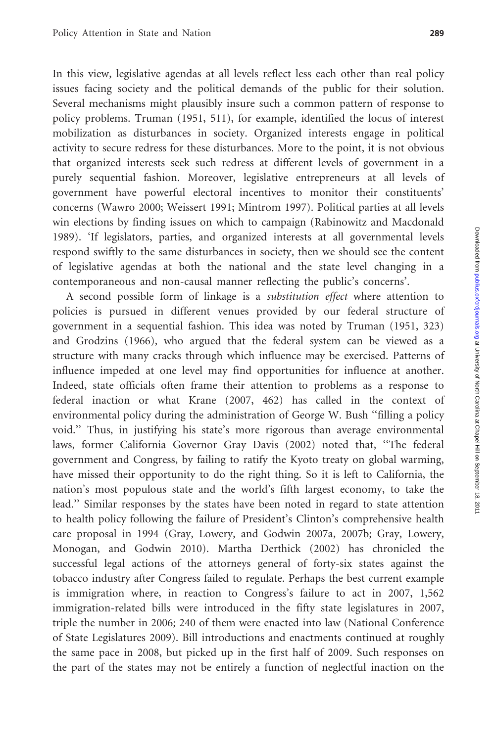In this view, legislative agendas at all levels reflect less each other than real policy issues facing society and the political demands of the public for their solution. Several mechanisms might plausibly insure such a common pattern of response to policy problems. Truman (1951, 511), for example, identified the locus of interest mobilization as disturbances in society. Organized interests engage in political activity to secure redress for these disturbances. More to the point, it is not obvious that organized interests seek such redress at different levels of government in a purely sequential fashion. Moreover, legislative entrepreneurs at all levels of government have powerful electoral incentives to monitor their constituents' concerns (Wawro 2000; Weissert 1991; Mintrom 1997). Political parties at all levels win elections by finding issues on which to campaign (Rabinowitz and Macdonald 1989). 'If legislators, parties, and organized interests at all governmental levels respond swiftly to the same disturbances in society, then we should see the content of legislative agendas at both the national and the state level changing in a contemporaneous and non-causal manner reflecting the public's concerns'.

A second possible form of linkage is a substitution effect where attention to policies is pursued in different venues provided by our federal structure of government in a sequential fashion. This idea was noted by Truman (1951, 323) and Grodzins (1966), who argued that the federal system can be viewed as a structure with many cracks through which influence may be exercised. Patterns of influence impeded at one level may find opportunities for influence at another. Indeed, state officials often frame their attention to problems as a response to federal inaction or what Krane (2007, 462) has called in the context of environmental policy during the administration of George W. Bush ''filling a policy void.'' Thus, in justifying his state's more rigorous than average environmental laws, former California Governor Gray Davis (2002) noted that, ''The federal government and Congress, by failing to ratify the Kyoto treaty on global warming, have missed their opportunity to do the right thing. So it is left to California, the nation's most populous state and the world's fifth largest economy, to take the lead.'' Similar responses by the states have been noted in regard to state attention to health policy following the failure of President's Clinton's comprehensive health care proposal in 1994 (Gray, Lowery, and Godwin 2007a, 2007b; Gray, Lowery, Monogan, and Godwin 2010). Martha Derthick (2002) has chronicled the successful legal actions of the attorneys general of forty-six states against the tobacco industry after Congress failed to regulate. Perhaps the best current example is immigration where, in reaction to Congress's failure to act in 2007, 1,562 immigration-related bills were introduced in the fifty state legislatures in 2007, triple the number in 2006; 240 of them were enacted into law (National Conference of State Legislatures 2009). Bill introductions and enactments continued at roughly the same pace in 2008, but picked up in the first half of 2009. Such responses on the part of the states may not be entirely a function of neglectful inaction on the Downloaded from publius.oxfordjournals.org at University of North Carolina at Chapel Hill on September 18, 2011 Downloaded from [publius.oxfordjournals.org](http://publius.oxfordjournals.org/) at University of North Carolina at Chapel Hill on September 18, 2011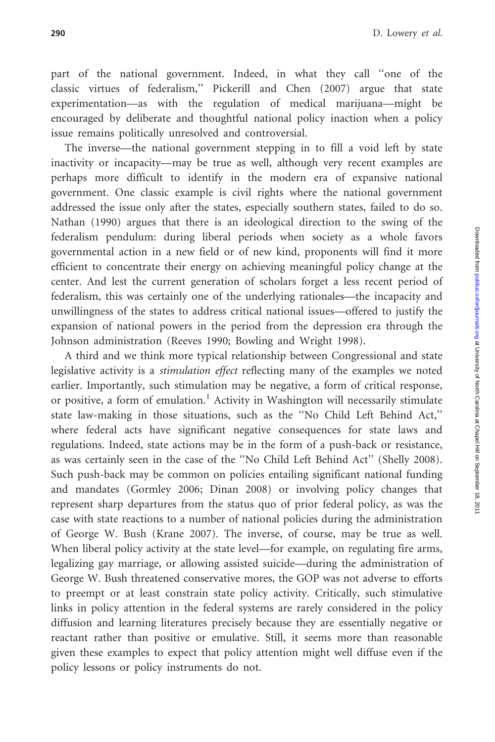part of the national government. Indeed, in what they call ''one of the classic virtues of federalism,'' Pickerill and Chen (2007) argue that state experimentation—as with the regulation of medical marijuana—might be encouraged by deliberate and thoughtful national policy inaction when a policy issue remains politically unresolved and controversial.

The inverse—the national government stepping in to fill a void left by state inactivity or incapacity—may be true as well, although very recent examples are perhaps more difficult to identify in the modern era of expansive national government. One classic example is civil rights where the national government addressed the issue only after the states, especially southern states, failed to do so. Nathan (1990) argues that there is an ideological direction to the swing of the federalism pendulum: during liberal periods when society as a whole favors governmental action in a new field or of new kind, proponents will find it more efficient to concentrate their energy on achieving meaningful policy change at the center. And lest the current generation of scholars forget a less recent period of federalism, this was certainly one of the underlying rationales—the incapacity and unwillingness of the states to address critical national issues—offered to justify the expansion of national powers in the period from the depression era through the Johnson administration (Reeves 1990; Bowling and Wright 1998).

A third and we think more typical relationship between Congressional and state legislative activity is a stimulation effect reflecting many of the examples we noted earlier. Importantly, such stimulation may be negative, a form of critical response, or positive, a form of emulation.<sup>1</sup> Activity in Washington will necessarily stimulate state law-making in those situations, such as the ''No Child Left Behind Act,'' where federal acts have significant negative consequences for state laws and regulations. Indeed, state actions may be in the form of a push-back or resistance, as was certainly seen in the case of the ''No Child Left Behind Act'' (Shelly 2008). Such push-back may be common on policies entailing significant national funding and mandates (Gormley 2006; Dinan 2008) or involving policy changes that represent sharp departures from the status quo of prior federal policy, as was the case with state reactions to a number of national policies during the administration of George W. Bush (Krane 2007). The inverse, of course, may be true as well. When liberal policy activity at the state level—for example, on regulating fire arms, legalizing gay marriage, or allowing assisted suicide—during the administration of George W. Bush threatened conservative mores, the GOP was not adverse to efforts to preempt or at least constrain state policy activity. Critically, such stimulative links in policy attention in the federal systems are rarely considered in the policy diffusion and learning literatures precisely because they are essentially negative or reactant rather than positive or emulative. Still, it seems more than reasonable given these examples to expect that policy attention might well diffuse even if the policy lessons or policy instruments do not.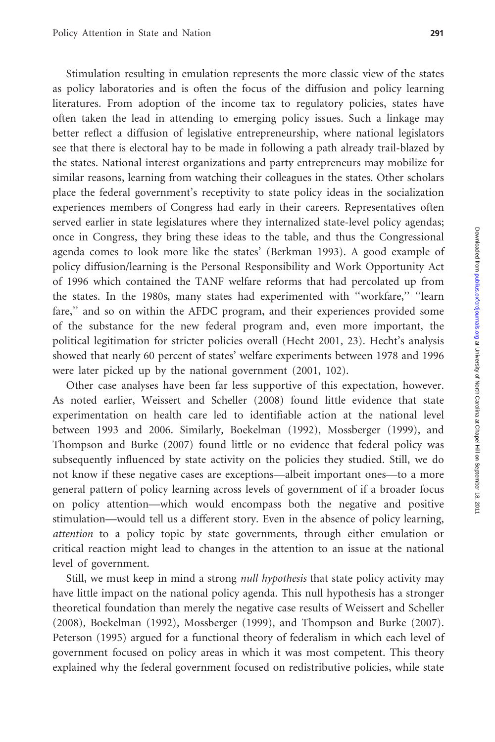Stimulation resulting in emulation represents the more classic view of the states as policy laboratories and is often the focus of the diffusion and policy learning literatures. From adoption of the income tax to regulatory policies, states have often taken the lead in attending to emerging policy issues. Such a linkage may better reflect a diffusion of legislative entrepreneurship, where national legislators see that there is electoral hay to be made in following a path already trail-blazed by the states. National interest organizations and party entrepreneurs may mobilize for similar reasons, learning from watching their colleagues in the states. Other scholars place the federal government's receptivity to state policy ideas in the socialization experiences members of Congress had early in their careers. Representatives often served earlier in state legislatures where they internalized state-level policy agendas; once in Congress, they bring these ideas to the table, and thus the Congressional agenda comes to look more like the states' (Berkman 1993). A good example of policy diffusion/learning is the Personal Responsibility and Work Opportunity Act of 1996 which contained the TANF welfare reforms that had percolated up from the states. In the 1980s, many states had experimented with ''workfare,'' ''learn fare,'' and so on within the AFDC program, and their experiences provided some of the substance for the new federal program and, even more important, the political legitimation for stricter policies overall (Hecht 2001, 23). Hecht's analysis showed that nearly 60 percent of states' welfare experiments between 1978 and 1996 were later picked up by the national government (2001, 102).

Other case analyses have been far less supportive of this expectation, however. As noted earlier, Weissert and Scheller (2008) found little evidence that state experimentation on health care led to identifiable action at the national level between 1993 and 2006. Similarly, Boekelman (1992), Mossberger (1999), and Thompson and Burke (2007) found little or no evidence that federal policy was subsequently influenced by state activity on the policies they studied. Still, we do not know if these negative cases are exceptions—albeit important ones—to a more general pattern of policy learning across levels of government of if a broader focus on policy attention—which would encompass both the negative and positive stimulation—would tell us a different story. Even in the absence of policy learning, attention to a policy topic by state governments, through either emulation or critical reaction might lead to changes in the attention to an issue at the national level of government.

Still, we must keep in mind a strong null hypothesis that state policy activity may have little impact on the national policy agenda. This null hypothesis has a stronger theoretical foundation than merely the negative case results of Weissert and Scheller (2008), Boekelman (1992), Mossberger (1999), and Thompson and Burke (2007). Peterson (1995) argued for a functional theory of federalism in which each level of government focused on policy areas in which it was most competent. This theory explained why the federal government focused on redistributive policies, while state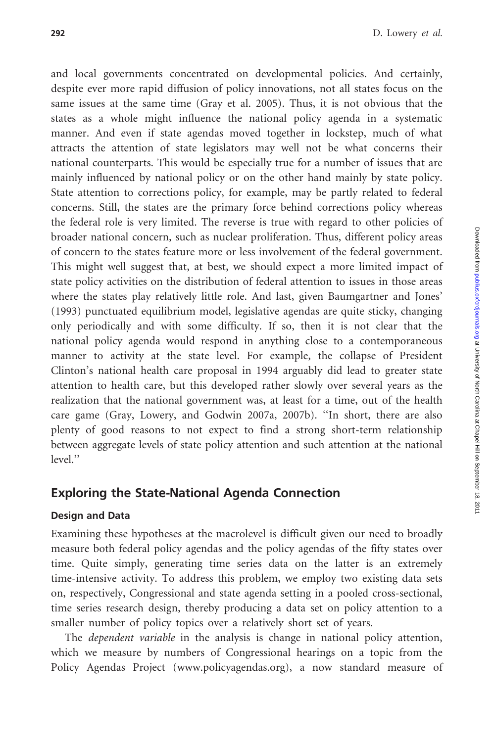and local governments concentrated on developmental policies. And certainly, despite ever more rapid diffusion of policy innovations, not all states focus on the same issues at the same time (Gray et al. 2005). Thus, it is not obvious that the states as a whole might influence the national policy agenda in a systematic manner. And even if state agendas moved together in lockstep, much of what attracts the attention of state legislators may well not be what concerns their national counterparts. This would be especially true for a number of issues that are mainly influenced by national policy or on the other hand mainly by state policy. State attention to corrections policy, for example, may be partly related to federal concerns. Still, the states are the primary force behind corrections policy whereas the federal role is very limited. The reverse is true with regard to other policies of broader national concern, such as nuclear proliferation. Thus, different policy areas of concern to the states feature more or less involvement of the federal government. This might well suggest that, at best, we should expect a more limited impact of state policy activities on the distribution of federal attention to issues in those areas where the states play relatively little role. And last, given Baumgartner and Jones' (1993) punctuated equilibrium model, legislative agendas are quite sticky, changing only periodically and with some difficulty. If so, then it is not clear that the national policy agenda would respond in anything close to a contemporaneous manner to activity at the state level. For example, the collapse of President Clinton's national health care proposal in 1994 arguably did lead to greater state attention to health care, but this developed rather slowly over several years as the realization that the national government was, at least for a time, out of the health care game (Gray, Lowery, and Godwin 2007a, 2007b). ''In short, there are also plenty of good reasons to not expect to find a strong short-term relationship between aggregate levels of state policy attention and such attention at the national level.''

## Exploring the State-National Agenda Connection

#### Design and Data

Examining these hypotheses at the macrolevel is difficult given our need to broadly measure both federal policy agendas and the policy agendas of the fifty states over time. Quite simply, generating time series data on the latter is an extremely time-intensive activity. To address this problem, we employ two existing data sets on, respectively, Congressional and state agenda setting in a pooled cross-sectional, time series research design, thereby producing a data set on policy attention to a smaller number of policy topics over a relatively short set of years.

The dependent variable in the analysis is change in national policy attention, which we measure by numbers of Congressional hearings on a topic from the Policy Agendas Project (www.policyagendas.org), a now standard measure of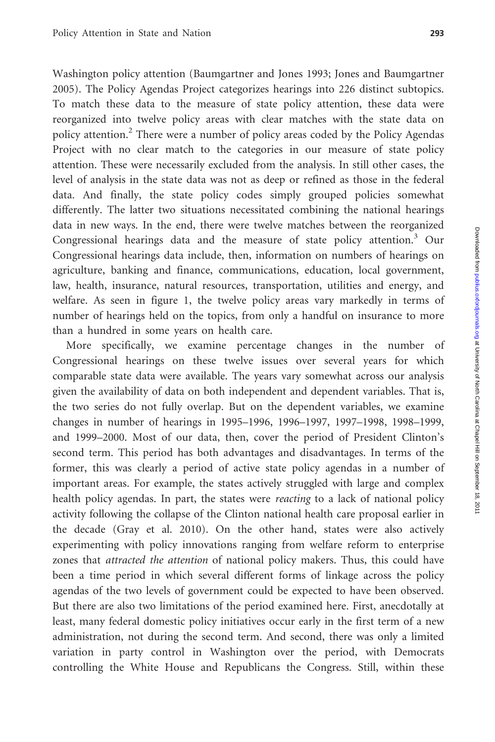Washington policy attention (Baumgartner and Jones 1993; Jones and Baumgartner 2005). The Policy Agendas Project categorizes hearings into 226 distinct subtopics. To match these data to the measure of state policy attention, these data were reorganized into twelve policy areas with clear matches with the state data on policy attention.<sup>2</sup> There were a number of policy areas coded by the Policy Agendas Project with no clear match to the categories in our measure of state policy attention. These were necessarily excluded from the analysis. In still other cases, the level of analysis in the state data was not as deep or refined as those in the federal data. And finally, the state policy codes simply grouped policies somewhat differently. The latter two situations necessitated combining the national hearings data in new ways. In the end, there were twelve matches between the reorganized Congressional hearings data and the measure of state policy attention.<sup>3</sup> Our Congressional hearings data include, then, information on numbers of hearings on agriculture, banking and finance, communications, education, local government, law, health, insurance, natural resources, transportation, utilities and energy, and welfare. As seen in figure 1, the twelve policy areas vary markedly in terms of number of hearings held on the topics, from only a handful on insurance to more than a hundred in some years on health care.

More specifically, we examine percentage changes in the number of Congressional hearings on these twelve issues over several years for which comparable state data were available. The years vary somewhat across our analysis given the availability of data on both independent and dependent variables. That is, the two series do not fully overlap. But on the dependent variables, we examine changes in number of hearings in 1995–1996, 1996–1997, 1997–1998, 1998–1999, and 1999–2000. Most of our data, then, cover the period of President Clinton's second term. This period has both advantages and disadvantages. In terms of the former, this was clearly a period of active state policy agendas in a number of important areas. For example, the states actively struggled with large and complex health policy agendas. In part, the states were *reacting* to a lack of national policy activity following the collapse of the Clinton national health care proposal earlier in the decade (Gray et al. 2010). On the other hand, states were also actively experimenting with policy innovations ranging from welfare reform to enterprise zones that attracted the attention of national policy makers. Thus, this could have been a time period in which several different forms of linkage across the policy agendas of the two levels of government could be expected to have been observed. But there are also two limitations of the period examined here. First, anecdotally at least, many federal domestic policy initiatives occur early in the first term of a new administration, not during the second term. And second, there was only a limited variation in party control in Washington over the period, with Democrats controlling the White House and Republicans the Congress. Still, within these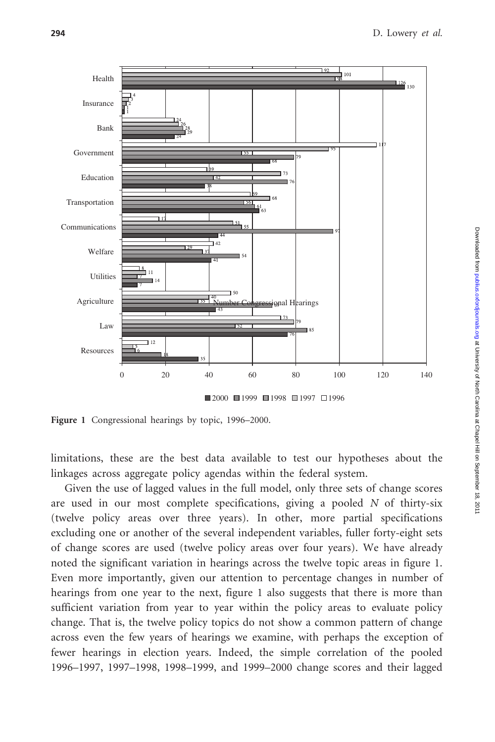

Figure 1 Congressional hearings by topic, 1996–2000.

limitations, these are the best data available to test our hypotheses about the linkages across aggregate policy agendas within the federal system.

Given the use of lagged values in the full model, only three sets of change scores are used in our most complete specifications, giving a pooled  $N$  of thirty-six (twelve policy areas over three years). In other, more partial specifications excluding one or another of the several independent variables, fuller forty-eight sets of change scores are used (twelve policy areas over four years). We have already noted the significant variation in hearings across the twelve topic areas in figure 1. Even more importantly, given our attention to percentage changes in number of hearings from one year to the next, figure 1 also suggests that there is more than sufficient variation from year to year within the policy areas to evaluate policy change. That is, the twelve policy topics do not show a common pattern of change across even the few years of hearings we examine, with perhaps the exception of fewer hearings in election years. Indeed, the simple correlation of the pooled 1996–1997, 1997–1998, 1998–1999, and 1999–2000 change scores and their lagged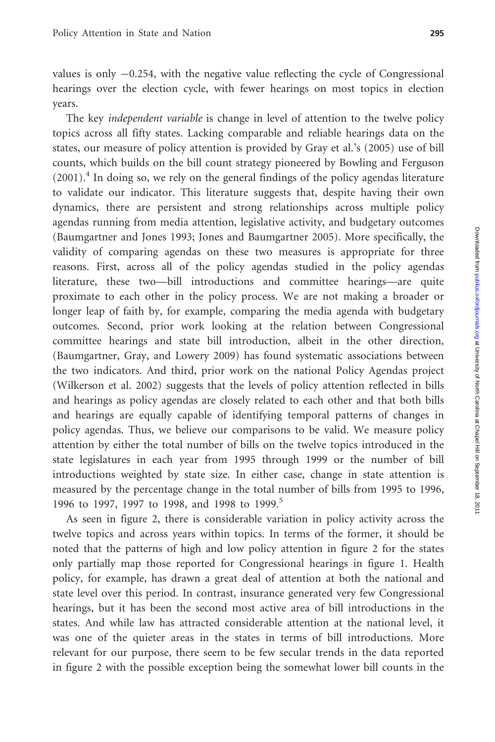values is only -0.254, with the negative value reflecting the cycle of Congressional hearings over the election cycle, with fewer hearings on most topics in election

years. The key independent variable is change in level of attention to the twelve policy topics across all fifty states. Lacking comparable and reliable hearings data on the states, our measure of policy attention is provided by Gray et al.'s (2005) use of bill counts, which builds on the bill count strategy pioneered by Bowling and Ferguson  $(2001).<sup>4</sup>$  In doing so, we rely on the general findings of the policy agendas literature to validate our indicator. This literature suggests that, despite having their own dynamics, there are persistent and strong relationships across multiple policy agendas running from media attention, legislative activity, and budgetary outcomes (Baumgartner and Jones 1993; Jones and Baumgartner 2005). More specifically, the validity of comparing agendas on these two measures is appropriate for three reasons. First, across all of the policy agendas studied in the policy agendas literature, these two—bill introductions and committee hearings—are quite proximate to each other in the policy process. We are not making a broader or longer leap of faith by, for example, comparing the media agenda with budgetary outcomes. Second, prior work looking at the relation between Congressional committee hearings and state bill introduction, albeit in the other direction, (Baumgartner, Gray, and Lowery 2009) has found systematic associations between the two indicators. And third, prior work on the national Policy Agendas project (Wilkerson et al. 2002) suggests that the levels of policy attention reflected in bills and hearings as policy agendas are closely related to each other and that both bills and hearings are equally capable of identifying temporal patterns of changes in policy agendas. Thus, we believe our comparisons to be valid. We measure policy attention by either the total number of bills on the twelve topics introduced in the state legislatures in each year from 1995 through 1999 or the number of bill introductions weighted by state size. In either case, change in state attention is measured by the percentage change in the total number of bills from 1995 to 1996, 1996 to 1997, 1997 to 1998, and 1998 to 1999.<sup>5</sup>

As seen in figure 2, there is considerable variation in policy activity across the twelve topics and across years within topics. In terms of the former, it should be noted that the patterns of high and low policy attention in figure 2 for the states only partially map those reported for Congressional hearings in figure 1. Health policy, for example, has drawn a great deal of attention at both the national and state level over this period. In contrast, insurance generated very few Congressional hearings, but it has been the second most active area of bill introductions in the states. And while law has attracted considerable attention at the national level, it was one of the quieter areas in the states in terms of bill introductions. More relevant for our purpose, there seem to be few secular trends in the data reported in figure 2 with the possible exception being the somewhat lower bill counts in the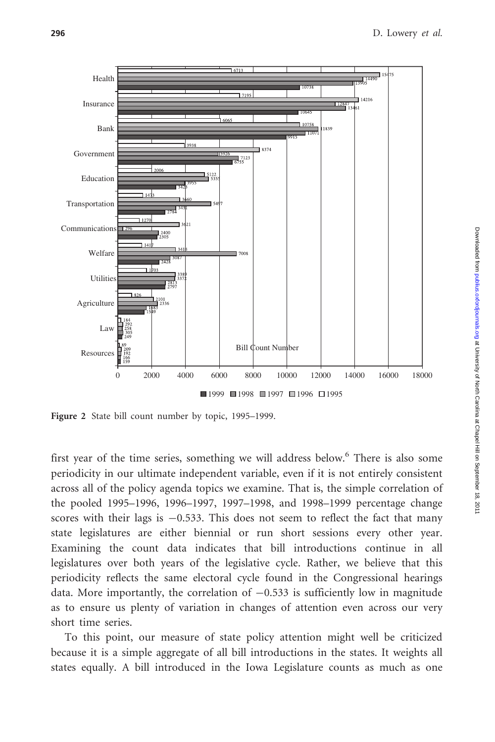

Figure 2 State bill count number by topic, 1995–1999.

first year of the time series, something we will address below.<sup>6</sup> There is also some periodicity in our ultimate independent variable, even if it is not entirely consistent across all of the policy agenda topics we examine. That is, the simple correlation of the pooled 1995–1996, 1996–1997, 1997–1998, and 1998–1999 percentage change scores with their lags is  $-0.533$ . This does not seem to reflect the fact that many state legislatures are either biennial or run short sessions every other year. Examining the count data indicates that bill introductions continue in all legislatures over both years of the legislative cycle. Rather, we believe that this periodicity reflects the same electoral cycle found in the Congressional hearings data. More importantly, the correlation of  $-0.533$  is sufficiently low in magnitude as to ensure us plenty of variation in changes of attention even across our very short time series.

To this point, our measure of state policy attention might well be criticized because it is a simple aggregate of all bill introductions in the states. It weights all states equally. A bill introduced in the Iowa Legislature counts as much as one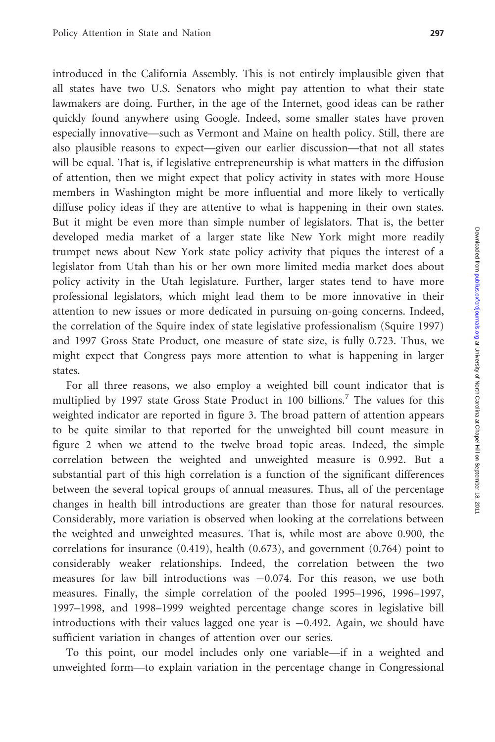introduced in the California Assembly. This is not entirely implausible given that all states have two U.S. Senators who might pay attention to what their state lawmakers are doing. Further, in the age of the Internet, good ideas can be rather quickly found anywhere using Google. Indeed, some smaller states have proven especially innovative—such as Vermont and Maine on health policy. Still, there are also plausible reasons to expect—given our earlier discussion—that not all states will be equal. That is, if legislative entrepreneurship is what matters in the diffusion of attention, then we might expect that policy activity in states with more House members in Washington might be more influential and more likely to vertically diffuse policy ideas if they are attentive to what is happening in their own states. But it might be even more than simple number of legislators. That is, the better developed media market of a larger state like New York might more readily trumpet news about New York state policy activity that piques the interest of a legislator from Utah than his or her own more limited media market does about policy activity in the Utah legislature. Further, larger states tend to have more professional legislators, which might lead them to be more innovative in their attention to new issues or more dedicated in pursuing on-going concerns. Indeed, the correlation of the Squire index of state legislative professionalism (Squire 1997) and 1997 Gross State Product, one measure of state size, is fully 0.723. Thus, we might expect that Congress pays more attention to what is happening in larger states.

For all three reasons, we also employ a weighted bill count indicator that is multiplied by 1997 state Gross State Product in 100 billions.<sup>7</sup> The values for this weighted indicator are reported in figure 3. The broad pattern of attention appears to be quite similar to that reported for the unweighted bill count measure in figure 2 when we attend to the twelve broad topic areas. Indeed, the simple correlation between the weighted and unweighted measure is 0.992. But a substantial part of this high correlation is a function of the significant differences between the several topical groups of annual measures. Thus, all of the percentage changes in health bill introductions are greater than those for natural resources. Considerably, more variation is observed when looking at the correlations between the weighted and unweighted measures. That is, while most are above 0.900, the correlations for insurance (0.419), health (0.673), and government (0.764) point to considerably weaker relationships. Indeed, the correlation between the two measures for law bill introductions was -0.074. For this reason, we use both measures. Finally, the simple correlation of the pooled 1995–1996, 1996–1997, 1997–1998, and 1998–1999 weighted percentage change scores in legislative bill introductions with their values lagged one year is -0.492. Again, we should have sufficient variation in changes of attention over our series.

To this point, our model includes only one variable—if in a weighted and unweighted form—to explain variation in the percentage change in Congressional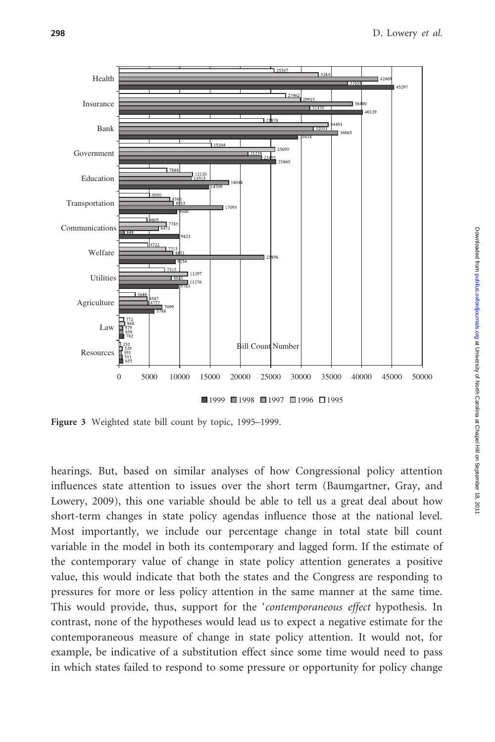

Figure 3 Weighted state bill count by topic, 1995–1999.

hearings. But, based on similar analyses of how Congressional policy attention influences state attention to issues over the short term (Baumgartner, Gray, and Lowery, 2009), this one variable should be able to tell us a great deal about how short-term changes in state policy agendas influence those at the national level. Most importantly, we include our percentage change in total state bill count variable in the model in both its contemporary and lagged form. If the estimate of the contemporary value of change in state policy attention generates a positive value, this would indicate that both the states and the Congress are responding to pressures for more or less policy attention in the same manner at the same time. This would provide, thus, support for the 'contemporaneous effect hypothesis. In contrast, none of the hypotheses would lead us to expect a negative estimate for the contemporaneous measure of change in state policy attention. It would not, for example, be indicative of a substitution effect since some time would need to pass in which states failed to respond to some pressure or opportunity for policy change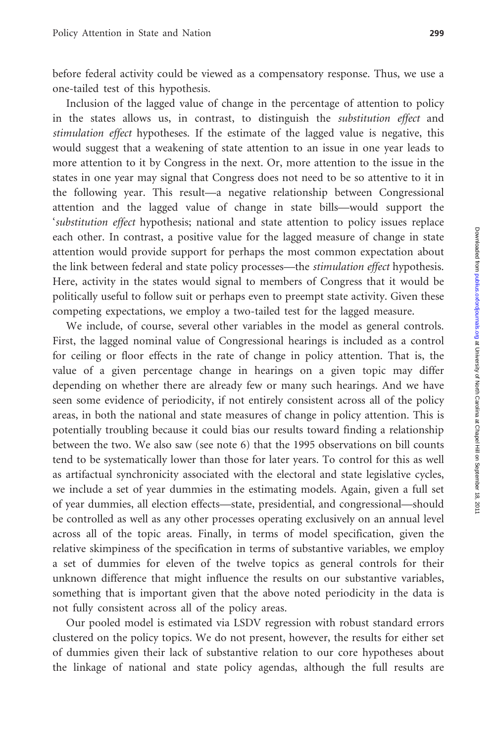before federal activity could be viewed as a compensatory response. Thus, we use a one-tailed test of this hypothesis.

Inclusion of the lagged value of change in the percentage of attention to policy in the states allows us, in contrast, to distinguish the substitution effect and stimulation effect hypotheses. If the estimate of the lagged value is negative, this would suggest that a weakening of state attention to an issue in one year leads to more attention to it by Congress in the next. Or, more attention to the issue in the states in one year may signal that Congress does not need to be so attentive to it in the following year. This result—a negative relationship between Congressional attention and the lagged value of change in state bills—would support the 'substitution effect hypothesis; national and state attention to policy issues replace each other. In contrast, a positive value for the lagged measure of change in state attention would provide support for perhaps the most common expectation about the link between federal and state policy processes—the *stimulation effect* hypothesis. Here, activity in the states would signal to members of Congress that it would be politically useful to follow suit or perhaps even to preempt state activity. Given these competing expectations, we employ a two-tailed test for the lagged measure.

We include, of course, several other variables in the model as general controls. First, the lagged nominal value of Congressional hearings is included as a control for ceiling or floor effects in the rate of change in policy attention. That is, the value of a given percentage change in hearings on a given topic may differ depending on whether there are already few or many such hearings. And we have seen some evidence of periodicity, if not entirely consistent across all of the policy areas, in both the national and state measures of change in policy attention. This is potentially troubling because it could bias our results toward finding a relationship between the two. We also saw (see note 6) that the 1995 observations on bill counts tend to be systematically lower than those for later years. To control for this as well as artifactual synchronicity associated with the electoral and state legislative cycles, we include a set of year dummies in the estimating models. Again, given a full set of year dummies, all election effects—state, presidential, and congressional—should be controlled as well as any other processes operating exclusively on an annual level across all of the topic areas. Finally, in terms of model specification, given the relative skimpiness of the specification in terms of substantive variables, we employ a set of dummies for eleven of the twelve topics as general controls for their unknown difference that might influence the results on our substantive variables, something that is important given that the above noted periodicity in the data is not fully consistent across all of the policy areas.

Our pooled model is estimated via LSDV regression with robust standard errors clustered on the policy topics. We do not present, however, the results for either set of dummies given their lack of substantive relation to our core hypotheses about the linkage of national and state policy agendas, although the full results are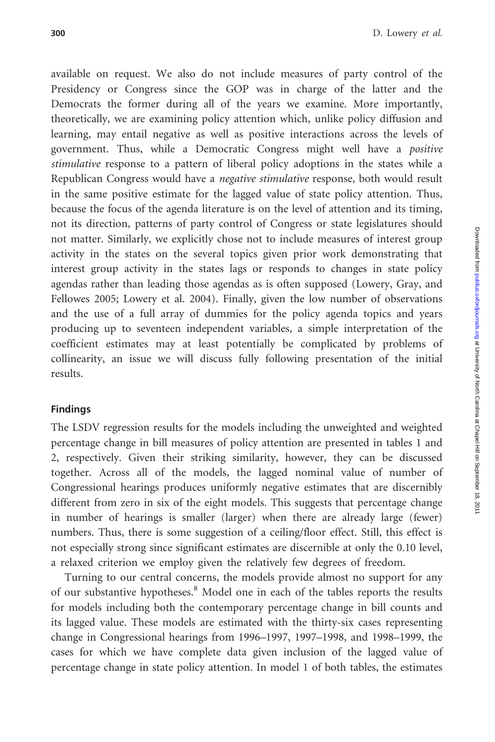available on request. We also do not include measures of party control of the Presidency or Congress since the GOP was in charge of the latter and the Democrats the former during all of the years we examine. More importantly, theoretically, we are examining policy attention which, unlike policy diffusion and learning, may entail negative as well as positive interactions across the levels of government. Thus, while a Democratic Congress might well have a positive stimulative response to a pattern of liberal policy adoptions in the states while a Republican Congress would have a negative stimulative response, both would result in the same positive estimate for the lagged value of state policy attention. Thus, because the focus of the agenda literature is on the level of attention and its timing, not its direction, patterns of party control of Congress or state legislatures should not matter. Similarly, we explicitly chose not to include measures of interest group activity in the states on the several topics given prior work demonstrating that interest group activity in the states lags or responds to changes in state policy agendas rather than leading those agendas as is often supposed (Lowery, Gray, and Fellowes 2005; Lowery et al. 2004). Finally, given the low number of observations and the use of a full array of dummies for the policy agenda topics and years producing up to seventeen independent variables, a simple interpretation of the coefficient estimates may at least potentially be complicated by problems of collinearity, an issue we will discuss fully following presentation of the initial results.

#### Findings

The LSDV regression results for the models including the unweighted and weighted percentage change in bill measures of policy attention are presented in tables 1 and 2, respectively. Given their striking similarity, however, they can be discussed together. Across all of the models, the lagged nominal value of number of Congressional hearings produces uniformly negative estimates that are discernibly different from zero in six of the eight models. This suggests that percentage change in number of hearings is smaller (larger) when there are already large (fewer) numbers. Thus, there is some suggestion of a ceiling/floor effect. Still, this effect is not especially strong since significant estimates are discernible at only the 0.10 level, a relaxed criterion we employ given the relatively few degrees of freedom.

Turning to our central concerns, the models provide almost no support for any of our substantive hypotheses.<sup>8</sup> Model one in each of the tables reports the results for models including both the contemporary percentage change in bill counts and its lagged value. These models are estimated with the thirty-six cases representing change in Congressional hearings from 1996–1997, 1997–1998, and 1998–1999, the cases for which we have complete data given inclusion of the lagged value of percentage change in state policy attention. In model 1 of both tables, the estimates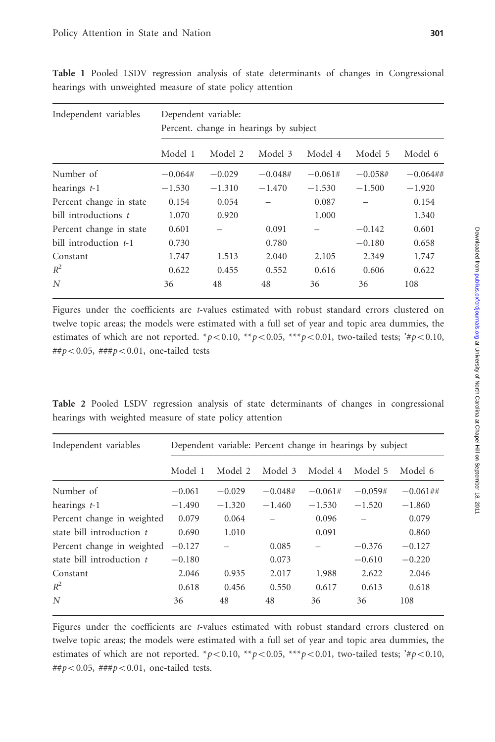| Independent variables   | Dependent variable:<br>Percent. change in hearings by subject |          |           |           |           |             |  |  |  |
|-------------------------|---------------------------------------------------------------|----------|-----------|-----------|-----------|-------------|--|--|--|
|                         | Model 1                                                       | Model 2  | Model 3   | Model 4   | Model 5   | Model 6     |  |  |  |
| Number of               | $-0.064#$                                                     | $-0.029$ | $-0.048#$ | $-0.061#$ | $-0.058#$ | $-0.064$ ## |  |  |  |
| hearings $t-1$          | $-1.530$                                                      | $-1.310$ | $-1.470$  | $-1.530$  | $-1.500$  | $-1.920$    |  |  |  |
| Percent change in state | 0.154                                                         | 0.054    |           | 0.087     |           | 0.154       |  |  |  |
| bill introductions t    | 1.070                                                         | 0.920    |           | 1.000     |           | 1.340       |  |  |  |
| Percent change in state | 0.601                                                         |          | 0.091     |           | $-0.142$  | 0.601       |  |  |  |
| bill introduction $t-1$ | 0.730                                                         |          | 0.780     |           | $-0.180$  | 0.658       |  |  |  |
| Constant                | 1.747                                                         | 1.513    | 2.040     | 2.105     | 2.349     | 1.747       |  |  |  |
| $R^2$                   | 0.622                                                         | 0.455    | 0.552     | 0.616     | 0.606     | 0.622       |  |  |  |
| N                       | 36                                                            | 48       | 48        | 36        | 36        | 108         |  |  |  |

Table 1 Pooled LSDV regression analysis of state determinants of changes in Congressional hearings with unweighted measure of state policy attention

Figures under the coefficients are t-values estimated with robust standard errors clustered on twelve topic areas; the models were estimated with a full set of year and topic area dummies, the estimates of which are not reported. \*p<0.10, \*\*p<0.05, \*\*\*p<0.01, two-tailed tests; '#p<0.10, ##p < 0.05, ###p < 0.01, one-tailed tests

Table 2 Pooled LSDV regression analysis of state determinants of changes in congressional hearings with weighted measure of state policy attention

| Independent variables      | Dependent variable: Percent change in hearings by subject |          |           |           |           |           |  |  |
|----------------------------|-----------------------------------------------------------|----------|-----------|-----------|-----------|-----------|--|--|
|                            | Model 1                                                   | Model 2  | Model 3   | Model 4   | Model 5   | Model 6   |  |  |
| Number of                  | $-0.061$                                                  | $-0.029$ | $-0.048#$ | $-0.061#$ | $-0.059#$ | $-0.061#$ |  |  |
| hearings $t-1$             | $-1.490$                                                  | $-1.320$ | $-1.460$  | $-1.530$  | $-1.520$  | $-1.860$  |  |  |
| Percent change in weighted | 0.079                                                     | 0.064    |           | 0.096     |           | 0.079     |  |  |
| state bill introduction t  | 0.690                                                     | 1.010    |           | 0.091     |           | 0.860     |  |  |
| Percent change in weighted | $-0.127$                                                  |          | 0.085     |           | $-0.376$  | $-0.127$  |  |  |
| state bill introduction t  | $-0.180$                                                  |          | 0.073     |           | $-0.610$  | $-0.220$  |  |  |
| Constant                   | 2.046                                                     | 0.935    | 2.017     | 1.988     | 2.622     | 2.046     |  |  |
| $R^2$                      | 0.618                                                     | 0.456    | 0.550     | 0.617     | 0.613     | 0.618     |  |  |
| N                          | 36                                                        | 48       | 48        | 36        | 36        | 108       |  |  |

Figures under the coefficients are t-values estimated with robust standard errors clustered on twelve topic areas; the models were estimated with a full set of year and topic area dummies, the estimates of which are not reported. \*p<0.10, \*\*p<0.05, \*\*\*p<0.01, two-tailed tests; '#p<0.10, ##p<0.05, ###p<0.01, one-tailed tests.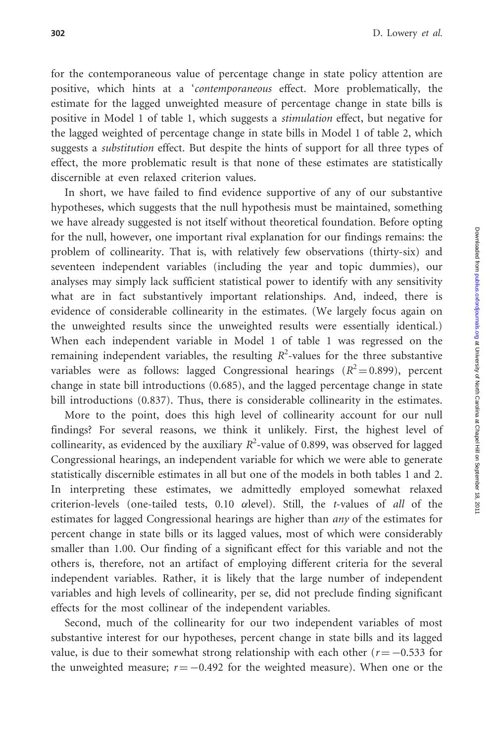for the contemporaneous value of percentage change in state policy attention are positive, which hints at a 'contemporaneous effect. More problematically, the estimate for the lagged unweighted measure of percentage change in state bills is positive in Model 1 of table 1, which suggests a stimulation effect, but negative for the lagged weighted of percentage change in state bills in Model 1 of table 2, which suggests a substitution effect. But despite the hints of support for all three types of effect, the more problematic result is that none of these estimates are statistically discernible at even relaxed criterion values.

In short, we have failed to find evidence supportive of any of our substantive hypotheses, which suggests that the null hypothesis must be maintained, something we have already suggested is not itself without theoretical foundation. Before opting for the null, however, one important rival explanation for our findings remains: the problem of collinearity. That is, with relatively few observations (thirty-six) and seventeen independent variables (including the year and topic dummies), our analyses may simply lack sufficient statistical power to identify with any sensitivity what are in fact substantively important relationships. And, indeed, there is evidence of considerable collinearity in the estimates. (We largely focus again on the unweighted results since the unweighted results were essentially identical.) When each independent variable in Model 1 of table 1 was regressed on the remaining independent variables, the resulting  $R^2$ -values for the three substantive variables were as follows: lagged Congressional hearings  $(R^2 = 0.899)$ , percent change in state bill introductions (0.685), and the lagged percentage change in state bill introductions (0.837). Thus, there is considerable collinearity in the estimates.

More to the point, does this high level of collinearity account for our null findings? For several reasons, we think it unlikely. First, the highest level of collinearity, as evidenced by the auxiliary  $R^2$ -value of 0.899, was observed for lagged Congressional hearings, an independent variable for which we were able to generate statistically discernible estimates in all but one of the models in both tables 1 and 2. In interpreting these estimates, we admittedly employed somewhat relaxed criterion-levels (one-tailed tests, 0.10  $\alpha$ level). Still, the t-values of all of the estimates for lagged Congressional hearings are higher than any of the estimates for percent change in state bills or its lagged values, most of which were considerably smaller than 1.00. Our finding of a significant effect for this variable and not the others is, therefore, not an artifact of employing different criteria for the several independent variables. Rather, it is likely that the large number of independent variables and high levels of collinearity, per se, did not preclude finding significant effects for the most collinear of the independent variables.

Second, much of the collinearity for our two independent variables of most substantive interest for our hypotheses, percent change in state bills and its lagged value, is due to their somewhat strong relationship with each other  $(r = -0.533$  for the unweighted measure;  $r = -0.492$  for the weighted measure). When one or the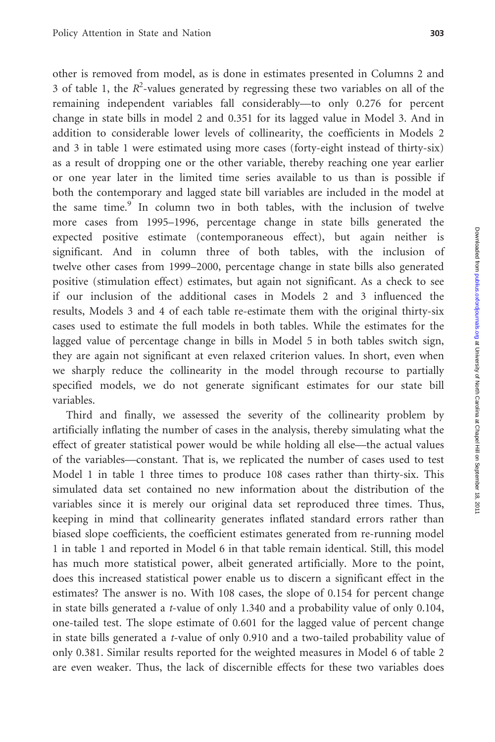other is removed from model, as is done in estimates presented in Columns 2 and 3 of table 1, the  $R^2$ -values generated by regressing these two variables on all of the remaining independent variables fall considerably—to only 0.276 for percent change in state bills in model 2 and 0.351 for its lagged value in Model 3. And in addition to considerable lower levels of collinearity, the coefficients in Models 2 and 3 in table 1 were estimated using more cases (forty-eight instead of thirty-six) as a result of dropping one or the other variable, thereby reaching one year earlier or one year later in the limited time series available to us than is possible if both the contemporary and lagged state bill variables are included in the model at the same time.<sup>9</sup> In column two in both tables, with the inclusion of twelve more cases from 1995–1996, percentage change in state bills generated the expected positive estimate (contemporaneous effect), but again neither is significant. And in column three of both tables, with the inclusion of twelve other cases from 1999–2000, percentage change in state bills also generated positive (stimulation effect) estimates, but again not significant. As a check to see if our inclusion of the additional cases in Models 2 and 3 influenced the results, Models 3 and 4 of each table re-estimate them with the original thirty-six cases used to estimate the full models in both tables. While the estimates for the lagged value of percentage change in bills in Model 5 in both tables switch sign, they are again not significant at even relaxed criterion values. In short, even when we sharply reduce the collinearity in the model through recourse to partially specified models, we do not generate significant estimates for our state bill variables.

Third and finally, we assessed the severity of the collinearity problem by artificially inflating the number of cases in the analysis, thereby simulating what the effect of greater statistical power would be while holding all else—the actual values of the variables—constant. That is, we replicated the number of cases used to test Model 1 in table 1 three times to produce 108 cases rather than thirty-six. This simulated data set contained no new information about the distribution of the variables since it is merely our original data set reproduced three times. Thus, keeping in mind that collinearity generates inflated standard errors rather than biased slope coefficients, the coefficient estimates generated from re-running model 1 in table 1 and reported in Model 6 in that table remain identical. Still, this model has much more statistical power, albeit generated artificially. More to the point, does this increased statistical power enable us to discern a significant effect in the estimates? The answer is no. With 108 cases, the slope of 0.154 for percent change in state bills generated a t-value of only 1.340 and a probability value of only 0.104, one-tailed test. The slope estimate of 0.601 for the lagged value of percent change in state bills generated a t-value of only 0.910 and a two-tailed probability value of only 0.381. Similar results reported for the weighted measures in Model 6 of table 2 are even weaker. Thus, the lack of discernible effects for these two variables does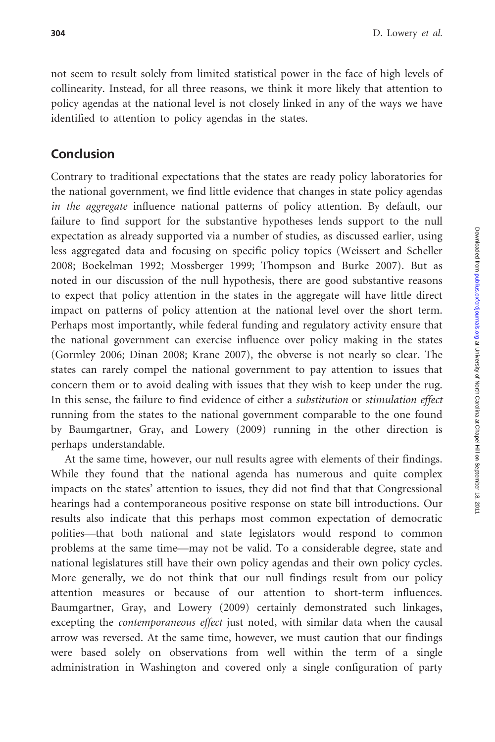not seem to result solely from limited statistical power in the face of high levels of collinearity. Instead, for all three reasons, we think it more likely that attention to policy agendas at the national level is not closely linked in any of the ways we have identified to attention to policy agendas in the states.

# Conclusion

Contrary to traditional expectations that the states are ready policy laboratories for the national government, we find little evidence that changes in state policy agendas in the aggregate influence national patterns of policy attention. By default, our failure to find support for the substantive hypotheses lends support to the null expectation as already supported via a number of studies, as discussed earlier, using less aggregated data and focusing on specific policy topics (Weissert and Scheller 2008; Boekelman 1992; Mossberger 1999; Thompson and Burke 2007). But as noted in our discussion of the null hypothesis, there are good substantive reasons to expect that policy attention in the states in the aggregate will have little direct impact on patterns of policy attention at the national level over the short term. Perhaps most importantly, while federal funding and regulatory activity ensure that the national government can exercise influence over policy making in the states (Gormley 2006; Dinan 2008; Krane 2007), the obverse is not nearly so clear. The states can rarely compel the national government to pay attention to issues that concern them or to avoid dealing with issues that they wish to keep under the rug. In this sense, the failure to find evidence of either a substitution or stimulation effect running from the states to the national government comparable to the one found by Baumgartner, Gray, and Lowery (2009) running in the other direction is perhaps understandable.

At the same time, however, our null results agree with elements of their findings. While they found that the national agenda has numerous and quite complex impacts on the states' attention to issues, they did not find that that Congressional hearings had a contemporaneous positive response on state bill introductions. Our results also indicate that this perhaps most common expectation of democratic polities—that both national and state legislators would respond to common problems at the same time—may not be valid. To a considerable degree, state and national legislatures still have their own policy agendas and their own policy cycles. More generally, we do not think that our null findings result from our policy attention measures or because of our attention to short-term influences. Baumgartner, Gray, and Lowery (2009) certainly demonstrated such linkages, excepting the contemporaneous effect just noted, with similar data when the causal arrow was reversed. At the same time, however, we must caution that our findings were based solely on observations from well within the term of a single administration in Washington and covered only a single configuration of party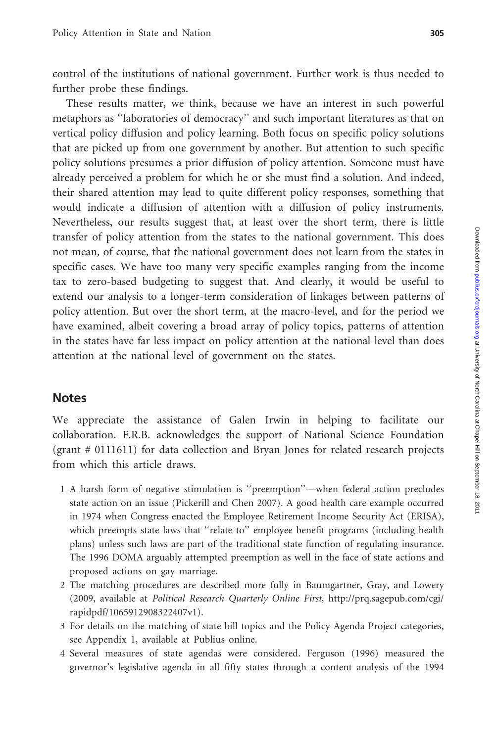control of the institutions of national government. Further work is thus needed to further probe these findings.

These results matter, we think, because we have an interest in such powerful metaphors as ''laboratories of democracy'' and such important literatures as that on vertical policy diffusion and policy learning. Both focus on specific policy solutions that are picked up from one government by another. But attention to such specific policy solutions presumes a prior diffusion of policy attention. Someone must have already perceived a problem for which he or she must find a solution. And indeed, their shared attention may lead to quite different policy responses, something that would indicate a diffusion of attention with a diffusion of policy instruments. Nevertheless, our results suggest that, at least over the short term, there is little transfer of policy attention from the states to the national government. This does not mean, of course, that the national government does not learn from the states in specific cases. We have too many very specific examples ranging from the income tax to zero-based budgeting to suggest that. And clearly, it would be useful to extend our analysis to a longer-term consideration of linkages between patterns of policy attention. But over the short term, at the macro-level, and for the period we have examined, albeit covering a broad array of policy topics, patterns of attention in the states have far less impact on policy attention at the national level than does attention at the national level of government on the states.

### Notes

We appreciate the assistance of Galen Irwin in helping to facilitate our collaboration. F.R.B. acknowledges the support of National Science Foundation (grant # 0111611) for data collection and Bryan Jones for related research projects from which this article draws.

- 1 A harsh form of negative stimulation is ''preemption''—when federal action precludes state action on an issue (Pickerill and Chen 2007). A good health care example occurred in 1974 when Congress enacted the Employee Retirement Income Security Act (ERISA), which preempts state laws that ''relate to'' employee benefit programs (including health plans) unless such laws are part of the traditional state function of regulating insurance. The 1996 DOMA arguably attempted preemption as well in the face of state actions and proposed actions on gay marriage.
- 2 The matching procedures are described more fully in Baumgartner, Gray, and Lowery (2009, available at Political Research Quarterly Online First,<http://prq.sagepub.com/cgi/> rapidpdf/1065912908322407v1).
- 3 For details on the matching of state bill topics and the Policy Agenda Project categories, see Appendix 1, available at Publius online.
- 4 Several measures of state agendas were considered. Ferguson (1996) measured the governor's legislative agenda in all fifty states through a content analysis of the 1994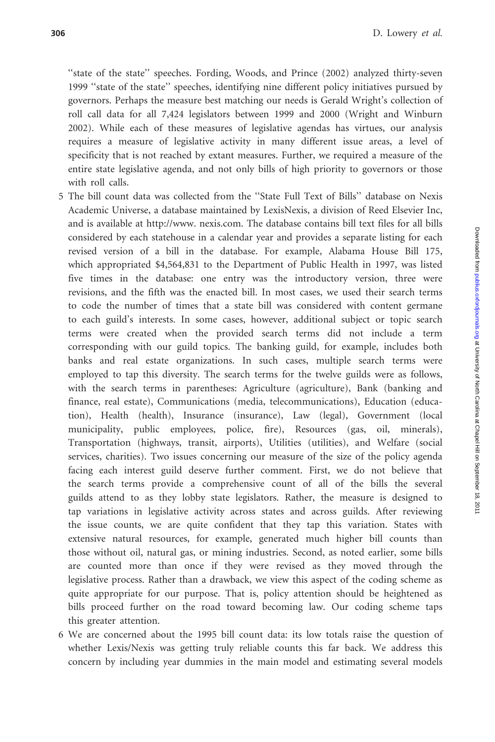''state of the state'' speeches. Fording, Woods, and Prince (2002) analyzed thirty-seven 1999 ''state of the state'' speeches, identifying nine different policy initiatives pursued by governors. Perhaps the measure best matching our needs is Gerald Wright's collection of roll call data for all 7,424 legislators between 1999 and 2000 (Wright and Winburn 2002). While each of these measures of legislative agendas has virtues, our analysis requires a measure of legislative activity in many different issue areas, a level of specificity that is not reached by extant measures. Further, we required a measure of the entire state legislative agenda, and not only bills of high priority to governors or those with roll calls.

- 5 The bill count data was collected from the ''State Full Text of Bills'' database on Nexis Academic Universe, a database maintained by LexisNexis, a division of Reed Elsevier Inc, and is available at [http://www.](http://www) nexis.com. The database contains bill text files for all bills considered by each statehouse in a calendar year and provides a separate listing for each revised version of a bill in the database. For example, Alabama House Bill 175, which appropriated \$4,564,831 to the Department of Public Health in 1997, was listed five times in the database: one entry was the introductory version, three were revisions, and the fifth was the enacted bill. In most cases, we used their search terms to code the number of times that a state bill was considered with content germane to each guild's interests. In some cases, however, additional subject or topic search terms were created when the provided search terms did not include a term corresponding with our guild topics. The banking guild, for example, includes both banks and real estate organizations. In such cases, multiple search terms were employed to tap this diversity. The search terms for the twelve guilds were as follows, with the search terms in parentheses: Agriculture (agriculture), Bank (banking and finance, real estate), Communications (media, telecommunications), Education (education), Health (health), Insurance (insurance), Law (legal), Government (local municipality, public employees, police, fire), Resources (gas, oil, minerals), Transportation (highways, transit, airports), Utilities (utilities), and Welfare (social services, charities). Two issues concerning our measure of the size of the policy agenda facing each interest guild deserve further comment. First, we do not believe that the search terms provide a comprehensive count of all of the bills the several guilds attend to as they lobby state legislators. Rather, the measure is designed to tap variations in legislative activity across states and across guilds. After reviewing the issue counts, we are quite confident that they tap this variation. States with extensive natural resources, for example, generated much higher bill counts than those without oil, natural gas, or mining industries. Second, as noted earlier, some bills are counted more than once if they were revised as they moved through the legislative process. Rather than a drawback, we view this aspect of the coding scheme as quite appropriate for our purpose. That is, policy attention should be heightened as bills proceed further on the road toward becoming law. Our coding scheme taps this greater attention.
- 6 We are concerned about the 1995 bill count data: its low totals raise the question of whether Lexis/Nexis was getting truly reliable counts this far back. We address this concern by including year dummies in the main model and estimating several models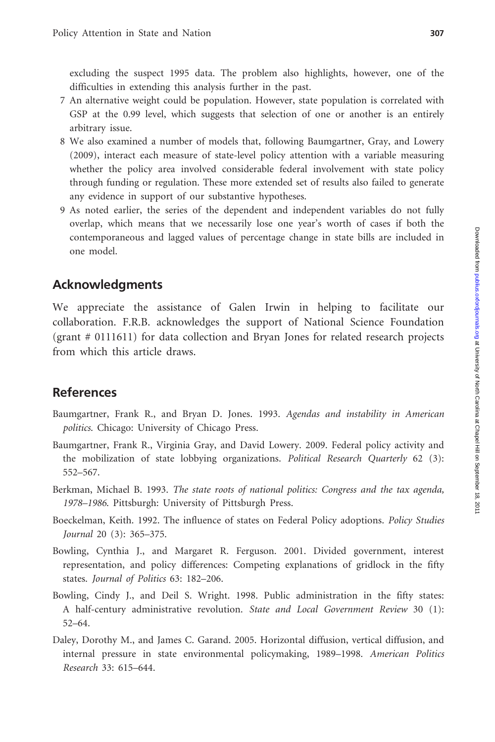excluding the suspect 1995 data. The problem also highlights, however, one of the difficulties in extending this analysis further in the past.

- 7 An alternative weight could be population. However, state population is correlated with GSP at the 0.99 level, which suggests that selection of one or another is an entirely arbitrary issue.
- 8 We also examined a number of models that, following Baumgartner, Gray, and Lowery (2009), interact each measure of state-level policy attention with a variable measuring whether the policy area involved considerable federal involvement with state policy through funding or regulation. These more extended set of results also failed to generate any evidence in support of our substantive hypotheses.
- 9 As noted earlier, the series of the dependent and independent variables do not fully overlap, which means that we necessarily lose one year's worth of cases if both the contemporaneous and lagged values of percentage change in state bills are included in one model.

# Acknowledgments

We appreciate the assistance of Galen Irwin in helping to facilitate our collaboration. F.R.B. acknowledges the support of National Science Foundation (grant # 0111611) for data collection and Bryan Jones for related research projects from which this article draws.

## References

- Baumgartner, Frank R., and Bryan D. Jones. 1993. Agendas and instability in American politics. Chicago: University of Chicago Press.
- Baumgartner, Frank R., Virginia Gray, and David Lowery. 2009. Federal policy activity and the mobilization of state lobbying organizations. Political Research Quarterly 62 (3): 552–567.
- Berkman, Michael B. 1993. The state roots of national politics: Congress and the tax agenda, 1978–1986. Pittsburgh: University of Pittsburgh Press.
- Boeckelman, Keith. 1992. The influence of states on Federal Policy adoptions. Policy Studies Journal 20 (3): 365–375.
- Bowling, Cynthia J., and Margaret R. Ferguson. 2001. Divided government, interest representation, and policy differences: Competing explanations of gridlock in the fifty states. Journal of Politics 63: 182–206.
- Bowling, Cindy J., and Deil S. Wright. 1998. Public administration in the fifty states: A half-century administrative revolution. State and Local Government Review 30 (1): 52–64.
- Daley, Dorothy M., and James C. Garand. 2005. Horizontal diffusion, vertical diffusion, and internal pressure in state environmental policymaking, 1989–1998. American Politics Research 33: 615–644.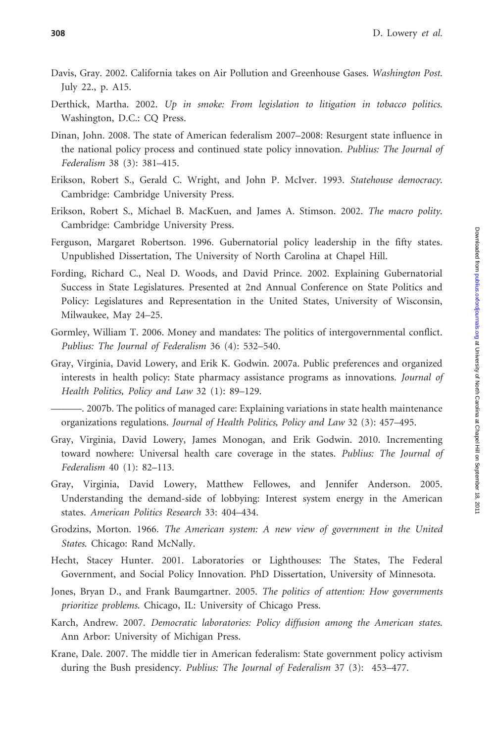- Davis, Gray. 2002. California takes on Air Pollution and Greenhouse Gases. Washington Post. July 22., p. A15.
- Derthick, Martha. 2002. Up in smoke: From legislation to litigation in tobacco politics. Washington, D.C.: CQ Press.
- Dinan, John. 2008. The state of American federalism 2007–2008: Resurgent state influence in the national policy process and continued state policy innovation. Publius: The Journal of Federalism 38 (3): 381–415.
- Erikson, Robert S., Gerald C. Wright, and John P. McIver. 1993. Statehouse democracy. Cambridge: Cambridge University Press.
- Erikson, Robert S., Michael B. MacKuen, and James A. Stimson. 2002. The macro polity. Cambridge: Cambridge University Press.
- Ferguson, Margaret Robertson. 1996. Gubernatorial policy leadership in the fifty states. Unpublished Dissertation, The University of North Carolina at Chapel Hill.
- Fording, Richard C., Neal D. Woods, and David Prince. 2002. Explaining Gubernatorial Success in State Legislatures. Presented at 2nd Annual Conference on State Politics and Policy: Legislatures and Representation in the United States, University of Wisconsin, Milwaukee, May 24–25.
- Gormley, William T. 2006. Money and mandates: The politics of intergovernmental conflict. Publius: The Journal of Federalism 36 (4): 532–540.
- Gray, Virginia, David Lowery, and Erik K. Godwin. 2007a. Public preferences and organized interests in health policy: State pharmacy assistance programs as innovations. Journal of Health Politics, Policy and Law 32 (1): 89–129.

———. 2007b. The politics of managed care: Explaining variations in state health maintenance organizations regulations. Journal of Health Politics, Policy and Law 32 (3): 457–495.

- Gray, Virginia, David Lowery, James Monogan, and Erik Godwin. 2010. Incrementing toward nowhere: Universal health care coverage in the states. Publius: The Journal of Federalism 40 (1): 82–113.
- Gray, Virginia, David Lowery, Matthew Fellowes, and Jennifer Anderson. 2005. Understanding the demand-side of lobbying: Interest system energy in the American states. American Politics Research 33: 404–434.
- Grodzins, Morton. 1966. The American system: A new view of government in the United States. Chicago: Rand McNally.
- Hecht, Stacey Hunter. 2001. Laboratories or Lighthouses: The States, The Federal Government, and Social Policy Innovation. PhD Dissertation, University of Minnesota.
- Jones, Bryan D., and Frank Baumgartner. 2005. The politics of attention: How governments prioritize problems. Chicago, IL: University of Chicago Press.
- Karch, Andrew. 2007. Democratic laboratories: Policy diffusion among the American states. Ann Arbor: University of Michigan Press.
- Krane, Dale. 2007. The middle tier in American federalism: State government policy activism during the Bush presidency. Publius: The Journal of Federalism 37 (3): 453–477.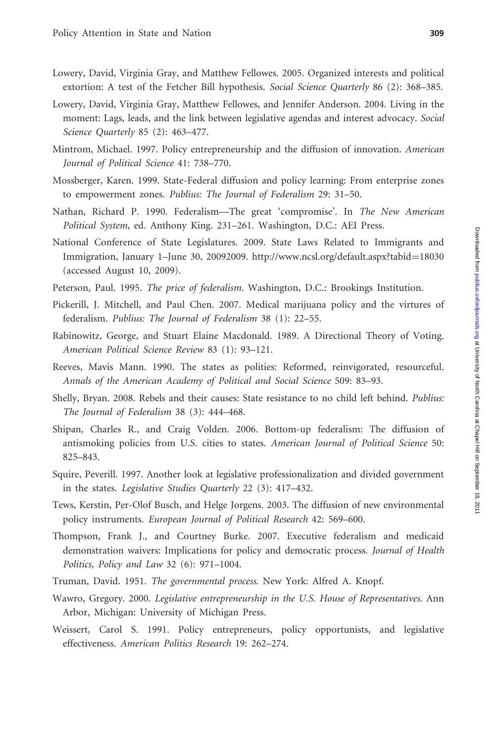- Lowery, David, Virginia Gray, and Matthew Fellowes. 2005. Organized interests and political extortion: A test of the Fetcher Bill hypothesis. Social Science Quarterly 86 (2): 368-385.
- Lowery, David, Virginia Gray, Matthew Fellowes, and Jennifer Anderson. 2004. Living in the moment: Lags, leads, and the link between legislative agendas and interest advocacy. Social Science Quarterly 85 (2): 463–477.
- Mintrom, Michael. 1997. Policy entrepreneurship and the diffusion of innovation. American Journal of Political Science 41: 738–770.
- Mossberger, Karen. 1999. State-Federal diffusion and policy learning: From enterprise zones to empowerment zones. Publius: The Journal of Federalism 29: 31–50.
- Nathan, Richard P. 1990. Federalism—The great 'compromise'. In The New American Political System, ed. Anthony King. 231–261. Washington, D.C.: AEI Press.
- National Conference of State Legislatures. 2009. State Laws Related to Immigrants and Immigration, January 1–June 30, 20092009.<http://www.ncsl.org/default.aspx?tabid>=18030 (accessed August 10, 2009).
- Peterson, Paul. 1995. The price of federalism. Washington, D.C.: Brookings Institution.
- Pickerill, J. Mitchell, and Paul Chen. 2007. Medical marijuana policy and the virtures of federalism. Publius: The Journal of Federalism 38 (1): 22–55.
- Rabinowitz, George, and Stuart Elaine Macdonald. 1989. A Directional Theory of Voting. American Political Science Review 83 (1): 93–121.
- Reeves, Mavis Mann. 1990. The states as polities: Reformed, reinvigorated, resourceful. Annals of the American Academy of Political and Social Science 509: 83–93.
- Shelly, Bryan. 2008. Rebels and their causes: State resistance to no child left behind. Publius: The Journal of Federalism 38 (3): 444–468.
- Shipan, Charles R., and Craig Volden. 2006. Bottom-up federalism: The diffusion of antismoking policies from U.S. cities to states. American Journal of Political Science 50: 825–843.
- Squire, Peverill. 1997. Another look at legislative professionalization and divided government in the states. Legislative Studies Quarterly 22 (3): 417–432.
- Tews, Kerstin, Per-Olof Busch, and Helge Jorgens. 2003. The diffusion of new environmental policy instruments. European Journal of Political Research 42: 569–600.
- Thompson, Frank J., and Courtney Burke. 2007. Executive federalism and medicaid demonstration waivers: Implications for policy and democratic process. Journal of Health Politics, Policy and Law 32 (6): 971–1004.
- Truman, David. 1951. The governmental process. New York: Alfred A. Knopf.
- Wawro, Gregory. 2000. Legislative entrepreneurship in the U.S. House of Representatives. Ann Arbor, Michigan: University of Michigan Press.
- Weissert, Carol S. 1991. Policy entrepreneurs, policy opportunists, and legislative effectiveness. American Politics Research 19: 262–274.